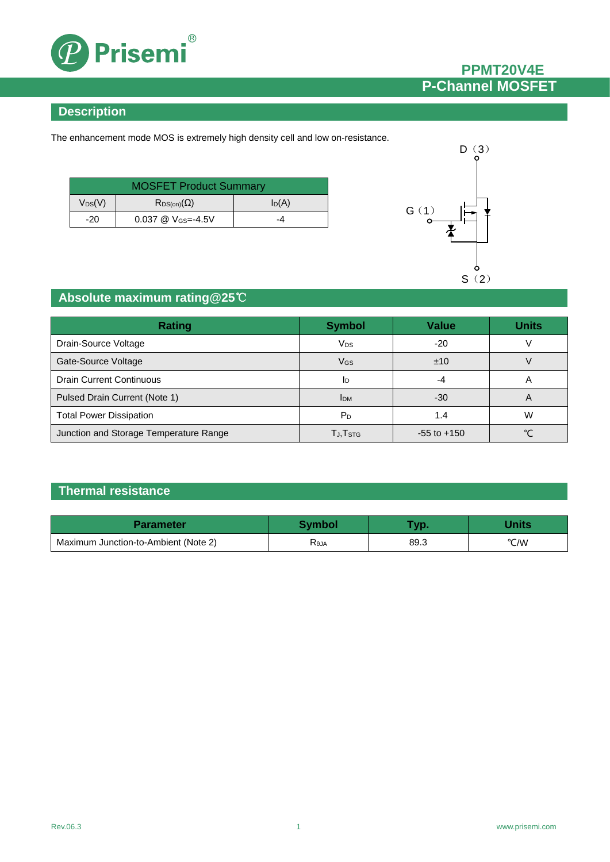

## **PPMT20V4E P-Channel MOSFET**

#### **Description**

The enhancement mode MOS is extremely high density cell and low on-resistance.

| <b>MOSFET Product Summary</b> |                              |          |  |
|-------------------------------|------------------------------|----------|--|
| $V_{DS}(V)$                   | $R_{DS(on)}(\Omega)$         | $I_D(A)$ |  |
| $-20$                         | $0.037 \ @ \ V_{GS} = -4.5V$ | -4       |  |



### **Absolute maximum rating@25**℃

| <b>Rating</b>                          | <b>Symbol</b>         | <b>Value</b>    | <b>Units</b> |
|----------------------------------------|-----------------------|-----------------|--------------|
| Drain-Source Voltage                   | <b>V<sub>DS</sub></b> | $-20$           |              |
| Gate-Source Voltage                    | VGS                   | ±10             |              |
| <b>Drain Current Continuous</b>        | 1 <sub>D</sub>        | -4              | A            |
| Pulsed Drain Current (Note 1)          | <b>IDM</b>            | $-30$           | A            |
| <b>Total Power Dissipation</b>         | P <sub>D</sub>        | 1.4             | W            |
| Junction and Storage Temperature Range | TJ,T <sub>STG</sub>   | $-55$ to $+150$ | $\sim$       |

## **Thermal resistance**

| Parameter                            | Svmbol | <b>START</b> |      |
|--------------------------------------|--------|--------------|------|
| Maximum Junction-to-Ambient (Note 2) | KθJA   | 89.3         | °C/W |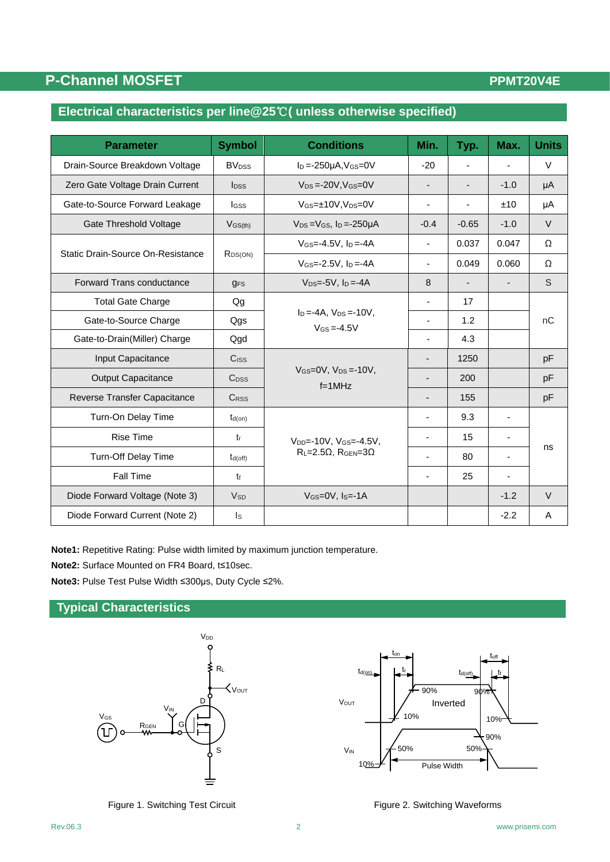## **P-Channel MOSFET**

#### **PPMT20V4E**

## **Electrical characteristics per line@25**℃**( unless otherwise specified)**

| <b>Parameter</b>                  | <b>Symbol</b>                              | <b>Conditions</b>                                                                         | Min.                     | Typ.                     | Max.                     | <b>Units</b> |
|-----------------------------------|--------------------------------------------|-------------------------------------------------------------------------------------------|--------------------------|--------------------------|--------------------------|--------------|
| Drain-Source Breakdown Voltage    | <b>BV</b> <sub>DSS</sub>                   | $I_D = -250\mu A$ , $V_{GS} = 0V$                                                         | $-20$                    | $\overline{\phantom{a}}$ | $\blacksquare$           | $\vee$       |
| Zero Gate Voltage Drain Current   | <b>l</b> pss                               | $V_{DS} = -20V$ , $V_{GS} = 0V$                                                           |                          |                          | $-1.0$                   | μA           |
| Gate-to-Source Forward Leakage    | lgss                                       | $V_{GS} = \pm 10V$ , $V_{DS} = 0V$                                                        |                          | $\blacksquare$           | ±10                      | μA           |
| <b>Gate Threshold Voltage</b>     | $V$ <sub>GS(th)</sub>                      | $V_{DS} = V_{GS}$ , $I_D = -250 \mu A$                                                    | $-0.4$                   | $-0.65$                  | $-1.0$                   | $\vee$       |
| Static Drain-Source On-Resistance | $V$ <sub>GS</sub> =-4.5V, $I_D$ =-4A       | ٠                                                                                         | 0.037                    | 0.047                    | Ω                        |              |
|                                   | $R_{DS(ON)}$                               | $V$ <sub>GS</sub> =-2.5V, $I_D$ =-4A                                                      | $\overline{\phantom{a}}$ | 0.049                    | 0.060                    | Ω            |
| Forward Trans conductance         | <b>GFS</b>                                 | $V_{DS} = -5V$ , $I_D = -4A$                                                              | 8                        | $\overline{\phantom{a}}$ | $\overline{\phantom{a}}$ | S            |
| <b>Total Gate Charge</b>          | Qg                                         |                                                                                           | ٠                        | 17                       |                          |              |
| Gate-to-Source Charge             | Qgs                                        | $I_D = -4A$ , $V_{DS} = -10V$ .<br>$V$ <sub>GS</sub> = -4.5 $V$                           |                          | 1.2                      |                          | nC           |
| Gate-to-Drain(Miller) Charge      | Qgd                                        |                                                                                           |                          | 4.3                      |                          |              |
| Input Capacitance                 | <b>C</b> <sub>ISS</sub>                    |                                                                                           |                          | 1250                     |                          | pF           |
| <b>Output Capacitance</b>         | $C_{DSS}$                                  | $V$ <sub>GS</sub> = $0$ V, $V_{DS}$ = $-10V$ ,<br>$f=1$ MHz                               | $\overline{\phantom{a}}$ | 200                      |                          | pF           |
| Reverse Transfer Capacitance      | <b>CRSS</b>                                |                                                                                           | -                        | 155                      |                          | pF           |
| Turn-On Delay Time                | $t_{d(on)}$                                |                                                                                           | $\overline{\phantom{a}}$ | 9.3                      | ٠                        |              |
| <b>Rise Time</b>                  | $t_{r}$                                    | V <sub>DD</sub> =-10V, V <sub>GS</sub> =-4.5V,<br>$R_L = 2.5\Omega$ , $R_{GEN} = 3\Omega$ | $\overline{\phantom{a}}$ | 15                       | $\blacksquare$           | ns           |
| Turn-Off Delay Time               | $t_{d(off)}$                               |                                                                                           |                          | 80                       | $\overline{\phantom{a}}$ |              |
| Fall Time                         | $t_{f}$                                    |                                                                                           |                          | 25                       |                          |              |
| Diode Forward Voltage (Note 3)    | $V$ GS=0V, Is=-1A<br><b>V<sub>sp</sub></b> |                                                                                           |                          |                          | $-1.2$                   | $\vee$       |
| Diode Forward Current (Note 2)    | Is                                         |                                                                                           |                          |                          | $-2.2$                   | A            |

**Note1:** Repetitive Rating: Pulse width limited by maximum junction temperature.

**Note2:** Surface Mounted on FR4 Board, t≤10sec.

**Note3:** Pulse Test Pulse Width ≤300μs, Duty Cycle ≤2%.

#### **Typical Characteristics**





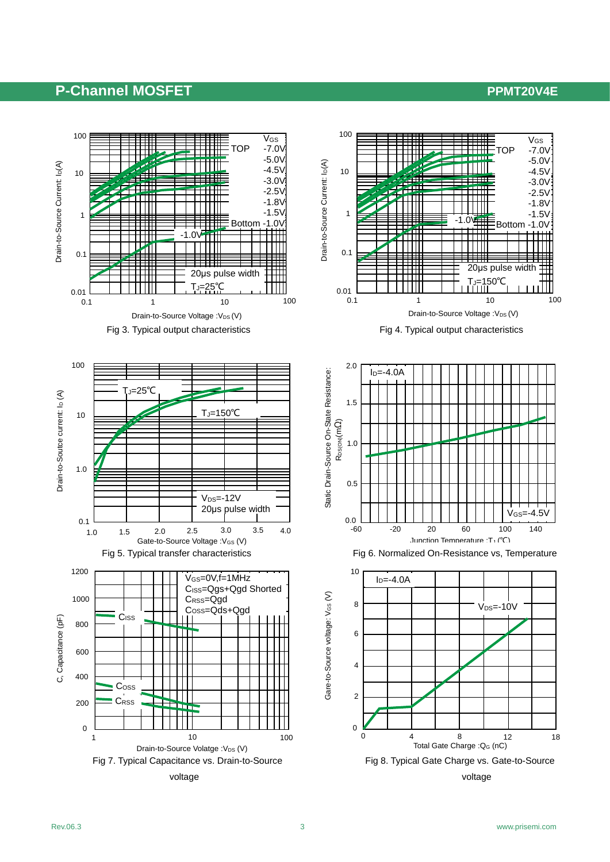### **P-Channel MOSFET PPMT20V4E**

V<sub>GS</sub>  $-7.0V$  -5.0V -4.5V  $-3.0V$  -2.5V -1.8V -1.5V Bottom -1.0V

10

50°C



 $V$ GS=-4.5 $V$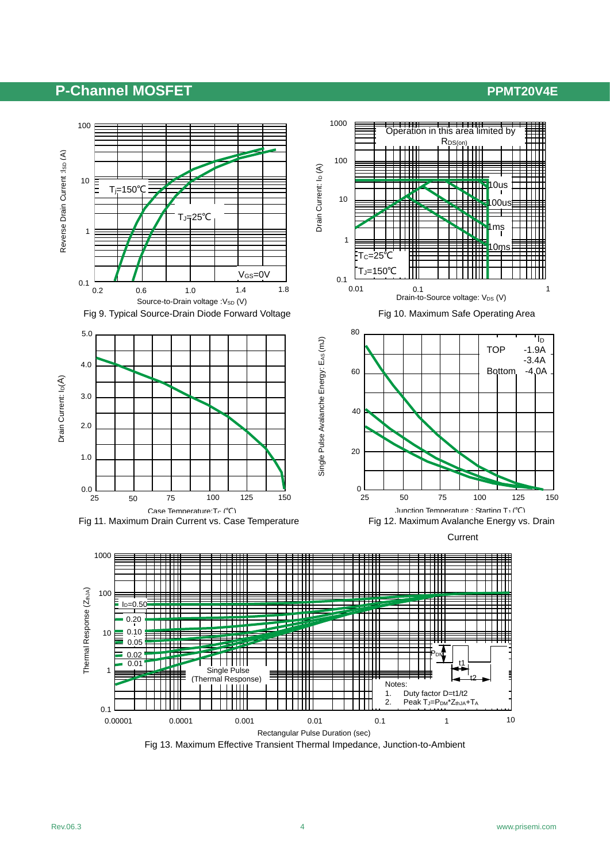### **P-Channel MOSFET PPMT20V4E**



Rectangular Pulse Duration (sec)

Fig 13. Maximum Effective Transient Thermal Impedance, Junction-to-Ambient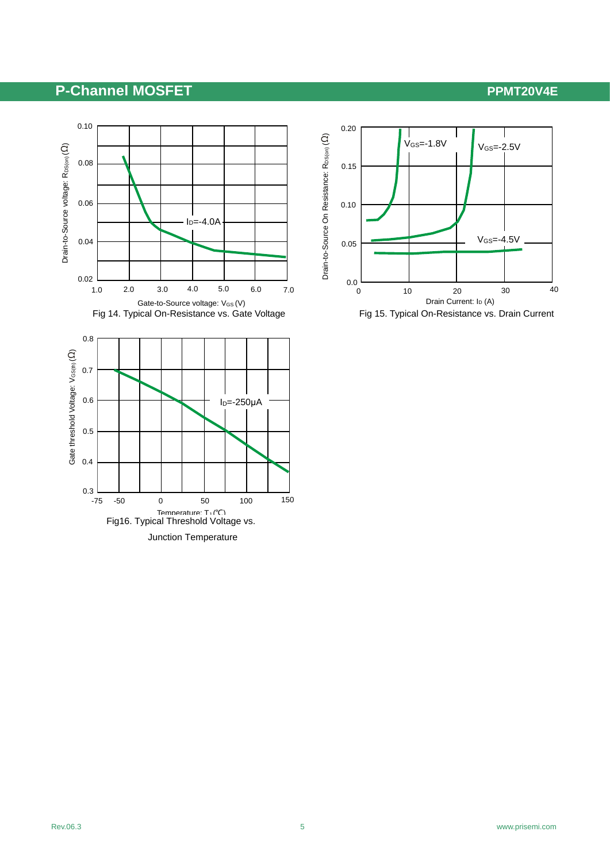## **P-Channel MOSFET PPMT20V4E**



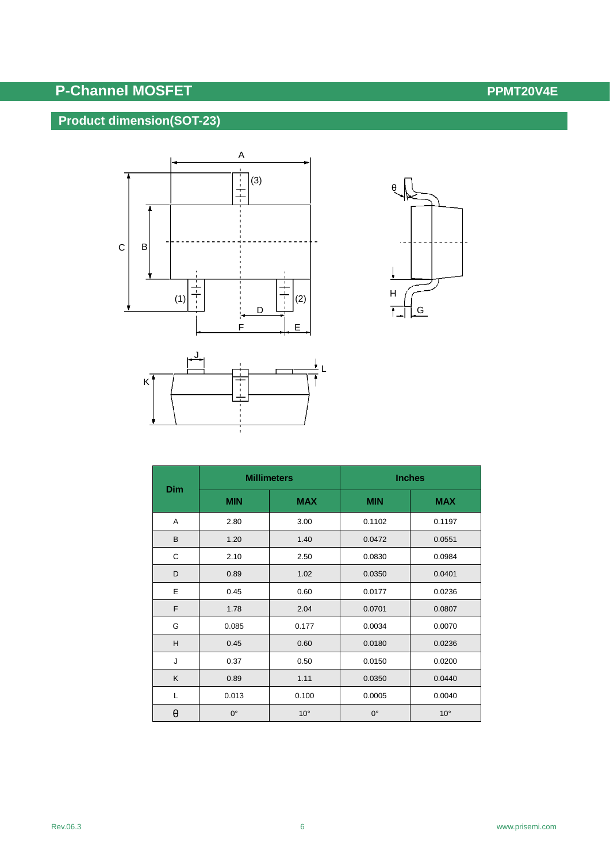# **P-Channel MOSFET** *P-Channel MOSFET*

## **Product dimension(SOT-23)**





|          |             | <b>Millimeters</b> | <b>Inches</b> |              |  |
|----------|-------------|--------------------|---------------|--------------|--|
| Dim      | <b>MIN</b>  | <b>MAX</b>         | <b>MIN</b>    | <b>MAX</b>   |  |
| Α        | 2.80        | 3.00               | 0.1102        | 0.1197       |  |
| B        | 1.20        | 1.40               | 0.0472        | 0.0551       |  |
| C        | 2.10        | 2.50               | 0.0830        | 0.0984       |  |
| D        | 0.89        | 1.02               | 0.0350        | 0.0401       |  |
| E        | 0.45        | 0.60               | 0.0177        | 0.0236       |  |
| F        | 1.78        | 2.04               | 0.0701        | 0.0807       |  |
| G        | 0.085       | 0.177              | 0.0034        | 0.0070       |  |
| H        | 0.45        | 0.60               | 0.0180        | 0.0236       |  |
| J        | 0.37        | 0.50               | 0.0150        | 0.0200       |  |
| K        | 0.89        | 1.11               | 0.0350        | 0.0440       |  |
| L        | 0.013       | 0.100              | 0.0005        | 0.0040       |  |
| $\theta$ | $0^{\circ}$ | $10^{\circ}$       | $0^{\circ}$   | $10^{\circ}$ |  |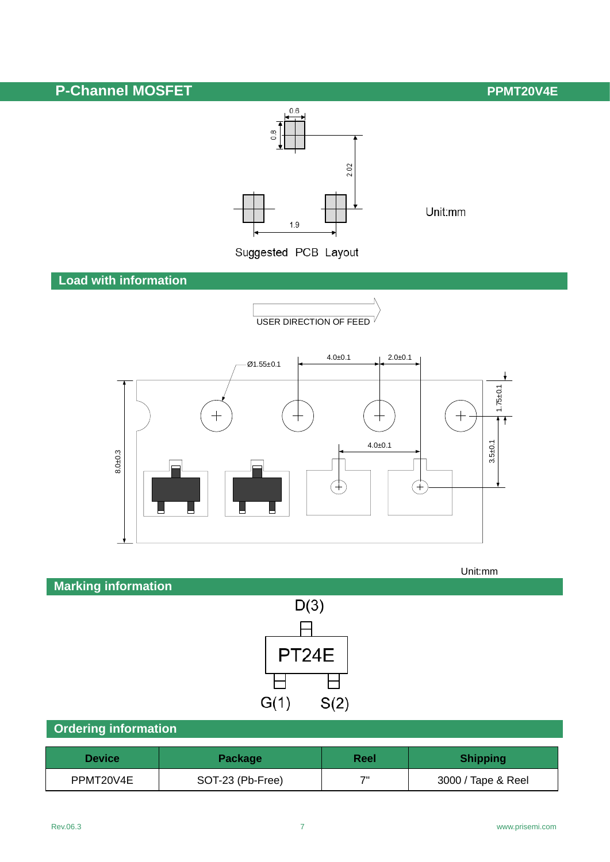# **P-Channel MOSFET** *P-Channel MOSFET*



Unit:mm

**Load with information**







 $G(1)$ 

## **Ordering information**

| <b>Device</b> | Package          | Reel | <b>Shipping</b>    |
|---------------|------------------|------|--------------------|
| PPMT20V4E     | SOT-23 (Pb-Free) | ァ    | 3000 / Tape & Reel |

 $S(2)$